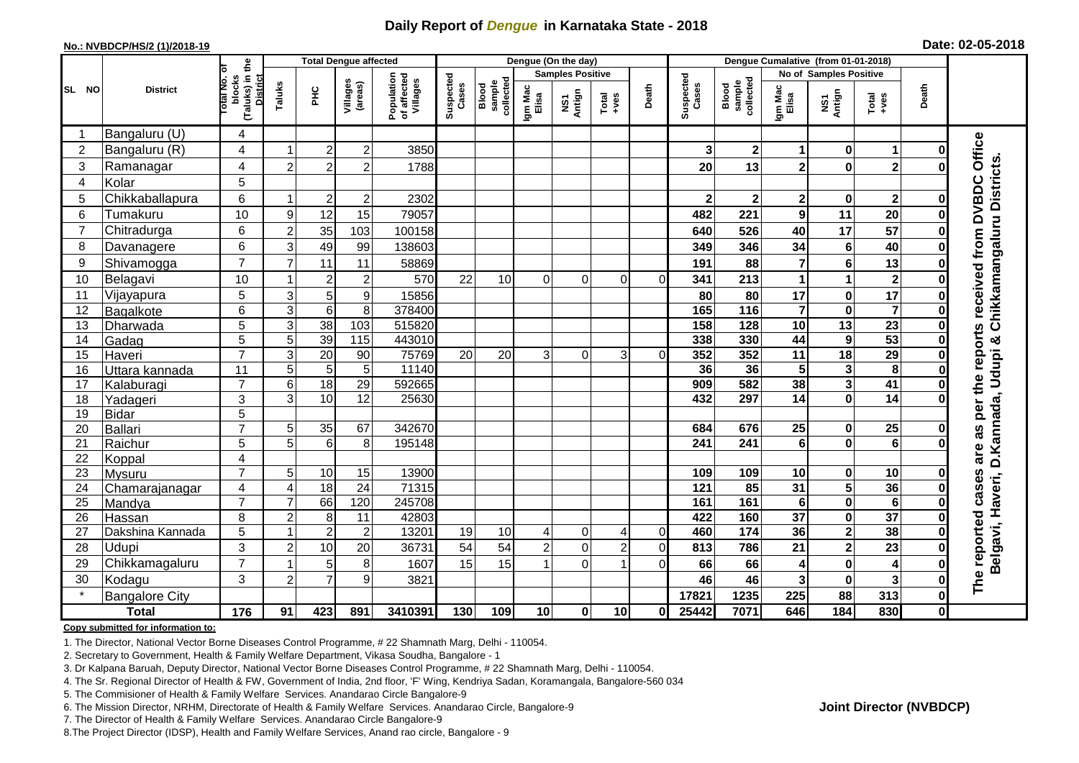## **Daily Report of** *Dengue* **in Karnataka State - 2018**

#### **No.: NVBDCP/HS/2 (1)/2018-19**

|  | Date: 02-05-2018 |  |
|--|------------------|--|
|--|------------------|--|

|                |                       |                                                              |                       |                 | <b>Total Dengue affected</b> |                                       | Dengue (On the day) |                             |                         |                |                                                              |                |                    | Dengue Cumalative (from 01-01-2018) |                         |                         |                         |              |                                                          |
|----------------|-----------------------|--------------------------------------------------------------|-----------------------|-----------------|------------------------------|---------------------------------------|---------------------|-----------------------------|-------------------------|----------------|--------------------------------------------------------------|----------------|--------------------|-------------------------------------|-------------------------|-------------------------|-------------------------|--------------|----------------------------------------------------------|
|                |                       |                                                              |                       |                 |                              |                                       |                     |                             | <b>Samples Positive</b> |                |                                                              |                |                    |                                     |                         | No of Samples Positive  |                         |              |                                                          |
| SL NO          | <b>District</b>       | (Taluks) in the<br>Total No. of<br>blocks<br><b>District</b> | Taluks                | Ξ               | Villages<br>(areas)          | Population<br>of affected<br>Villages | Suspected<br>Cases  | Blood<br>sample<br>collecte | Igm Mac<br>Elisa        | NS1<br>Antign  | $\begin{array}{c}\n\text{Total} \\ \text{Area}\n\end{array}$ | Death          | Suspected<br>Cases | Blood<br>sample<br>collected        | Igm Mac<br>Elisa        | NS1<br>Antign           | Total<br>$-ves$         | Death        |                                                          |
|                | Bangaluru (U)         | 4                                                            |                       |                 |                              |                                       |                     |                             |                         |                |                                                              |                |                    |                                     |                         |                         |                         |              |                                                          |
| $\overline{2}$ | Bangaluru (R)         | $\overline{4}$                                               |                       | $\overline{2}$  | $\overline{c}$               | 3850                                  |                     |                             |                         |                |                                                              |                | 3                  | $\mathbf 2$                         | 1                       | 0                       | 1                       |              |                                                          |
| 3              | Ramanagar             | 4                                                            | $\overline{2}$        | $\overline{2}$  | $\overline{2}$               | 1788                                  |                     |                             |                         |                |                                                              |                | 20                 | 13                                  | $\overline{\mathbf{2}}$ | $\bf{0}$                | $\overline{2}$          |              | received from DVBDC Office<br>Chikkamangaluru Districts. |
| 4              | Kolar                 | 5                                                            |                       |                 |                              |                                       |                     |                             |                         |                |                                                              |                |                    |                                     |                         |                         |                         |              |                                                          |
| 5              | Chikkaballapura       | 6                                                            |                       | $\overline{c}$  | $\overline{c}$               | 2302                                  |                     |                             |                         |                |                                                              |                | $\mathbf 2$        | $\mathbf{2}$                        | $\mathbf{2}$            | $\bf{0}$                | $\mathbf{2}^{\prime}$   | 0            |                                                          |
| 6              | Tumakuru              | 10                                                           | 9                     | 12              | 15                           | 79057                                 |                     |                             |                         |                |                                                              |                | 482                | 221                                 | $\boldsymbol{9}$        | 11                      | 20                      |              |                                                          |
| $\overline{7}$ | Chitradurga           | 6                                                            | $\overline{2}$        | 35              | 103                          | 100158                                |                     |                             |                         |                |                                                              |                | 640                | 526                                 | 40                      | 17                      | 57                      |              |                                                          |
| 8              | Davanagere            | $6\phantom{1}$                                               | 3                     | 49              | 99                           | 138603                                |                     |                             |                         |                |                                                              |                | 349                | 346                                 | 34                      | $6\phantom{1}6$         | 40                      |              |                                                          |
| 9              | Shivamogga            | $\overline{7}$                                               | $\overline{7}$        | 11              | 11                           | 58869                                 |                     |                             |                         |                |                                                              |                | 191                | 88                                  | $\overline{7}$          | $6\phantom{1}6$         | 13                      |              |                                                          |
| 10             | Belagavi              | 10                                                           |                       | $\overline{2}$  | $\overline{c}$               | 570                                   | 22                  | 10                          | $\Omega$                | $\Omega$       | $\Omega$                                                     | $\Omega$       | 341                | 213                                 | 1                       | $\mathbf 1$             | $\mathbf{2}$            |              |                                                          |
| 11             | Vijayapura            | $\overline{5}$                                               | 3                     | 5               | $\overline{9}$               | 15856                                 |                     |                             |                         |                |                                                              |                | 80                 | 80                                  | 17                      | $\bf{0}$                | $\overline{17}$         |              |                                                          |
| 12             | Bagalkote             | 6                                                            | $\mathsf 3$           | $6\phantom{1}6$ | 8                            | 378400                                |                     |                             |                         |                |                                                              |                | 165                | 116                                 | $\overline{\mathbf{7}}$ | $\bf{0}$                | $\overline{\mathbf{7}}$ |              |                                                          |
| 13             | Dharwada              | 5                                                            | 3                     | $\overline{38}$ | 103                          | 515820                                |                     |                             |                         |                |                                                              |                | 158                | 128                                 | 10                      | 13                      | $\overline{23}$         |              |                                                          |
| 14             | Gadag                 | $\overline{5}$                                               | $\overline{5}$        | 39              | $\frac{115}{115}$            | 443010                                |                     |                             |                         |                |                                                              |                | 338                | 330                                 | 44                      | 9                       | 53                      | 0            |                                                          |
| 15             | Haveri                | $\overline{7}$                                               | 3                     | 20              | 90                           | 75769                                 | 20                  | 20                          | 3                       | $\Omega$       | 3                                                            | $\Omega$       | 352                | 352                                 | 11                      | 18                      | 29                      |              | per the reports                                          |
| 16             | Uttara kannada        | $\overline{11}$                                              | 5                     | $\overline{5}$  | 5                            | 11140                                 |                     |                             |                         |                |                                                              |                | 36                 | 36                                  | 5                       | $\mathbf{3}$            | $\overline{\mathbf{8}}$ |              |                                                          |
| 17             | Kalaburagi            | $\overline{7}$                                               | 6                     | 18              | $\overline{29}$              | 592665                                |                     |                             |                         |                |                                                              |                | 909                | 582                                 | 38                      | $\mathbf{3}$            | 41                      |              |                                                          |
| 18             | Yadageri              | 3                                                            | 3                     | 10              | 12                           | 25630                                 |                     |                             |                         |                |                                                              |                | 432                | 297                                 | 14                      | $\bf{0}$                | $\overline{14}$         |              |                                                          |
| 19             | <b>Bidar</b>          | 5                                                            |                       |                 |                              |                                       |                     |                             |                         |                |                                                              |                |                    |                                     |                         |                         |                         |              |                                                          |
| 20             | Ballari               | $\overline{7}$                                               | 5                     | 35              | 67                           | 342670                                |                     |                             |                         |                |                                                              |                | 684                | 676                                 | 25                      | $\bf{0}$                | 25                      |              | as                                                       |
| 21             | Raichur               | 5                                                            | 5                     | $6\phantom{1}6$ | 8                            | 195148                                |                     |                             |                         |                |                                                              |                | 241                | 241                                 | $\bf 6$                 | $\bf{0}$                | $\overline{\mathbf{6}}$ |              | are                                                      |
| 22             | Koppal                | 4                                                            |                       |                 |                              |                                       |                     |                             |                         |                |                                                              |                |                    |                                     |                         |                         |                         |              |                                                          |
| 23             | Mysuru                | $\overline{7}$                                               | 5                     | $10$            | 15                           | 13900                                 |                     |                             |                         |                |                                                              |                | 109                | 109                                 | 10                      | $\mathbf 0$             | 10                      |              |                                                          |
| 24             | Chamarajanagar        | 4                                                            | $\boldsymbol{\Delta}$ | 18              | $\overline{24}$              | 71315                                 |                     |                             |                         |                |                                                              |                | 121                | 85                                  | $\overline{31}$         | 5                       | 36                      |              | Belgavi, Haveri, D.Kannada, Udupi &<br>cases             |
| 25             | Mandya                | $\overline{7}$                                               | $\overline{7}$        | 66              | 120                          | 245708                                |                     |                             |                         |                |                                                              |                | 161                | 161                                 | $\bf 6$                 | $\bf{0}$                | $\overline{6}$          |              |                                                          |
| 26             | Hassan                | 8                                                            | $\overline{2}$        | 8               | 11                           | 42803                                 |                     |                             |                         |                |                                                              |                | 422<br>460         | 160                                 | $\overline{37}$<br>36   | $\bf{0}$                | $\overline{37}$         |              |                                                          |
| 27             | Dakshina Kannada      | 5                                                            |                       | $\overline{c}$  | $\overline{2}$               | 13201                                 | 19                  | 10                          | $\overline{4}$          | $\overline{0}$ | 4                                                            | $\overline{0}$ |                    | $174$                               |                         | $\boldsymbol{2}$        | 38                      |              |                                                          |
| 28             | Udupi                 | 3                                                            | $\overline{2}$        | 10              | 20                           | 36731                                 | 54                  | 54                          | $\overline{c}$          | $\overline{0}$ | $\overline{c}$                                               | $\overline{0}$ | 813                | 786                                 | 21                      | $\overline{\mathbf{2}}$ | $\overline{23}$         | 0            |                                                          |
| 29             | Chikkamagaluru        | $\overline{7}$                                               |                       | 5               | 8                            | 1607                                  | 15                  | 15                          |                         | $\overline{0}$ |                                                              | $\Omega$       | 66                 | 66                                  | 4                       | $\mathbf 0$             | $\overline{\mathbf{4}}$ |              |                                                          |
| 30             | Kodagu                | 3                                                            | $\overline{c}$        | $\overline{7}$  | 9                            | 3821                                  |                     |                             |                         |                |                                                              |                | 46                 | 46                                  | 3                       | 0                       | 3                       |              | The reported                                             |
|                | <b>Bangalore City</b> |                                                              |                       |                 |                              |                                       |                     |                             |                         |                |                                                              |                | 17821              | 1235                                | 225                     | 88                      | 313                     | $\mathbf 0$  |                                                          |
|                | <b>Total</b>          | $\frac{1}{176}$                                              | 91                    | 423             | 891                          | 3410391                               | 130                 | 109                         | 10 <sup>1</sup>         | 0              | 10                                                           | $\mathbf{0}$   | 25442              | 7071                                | 646                     | 184                     | 830                     | $\mathbf{0}$ |                                                          |

#### **Copy submitted for information to:**

1. The Director, National Vector Borne Diseases Control Programme, # 22 Shamnath Marg, Delhi - 110054.

2. Secretary to Government, Health & Family Welfare Department, Vikasa Soudha, Bangalore - 1

3. Dr Kalpana Baruah, Deputy Director, National Vector Borne Diseases Control Programme, # 22 Shamnath Marg, Delhi - 110054.

4. The Sr. Regional Director of Health & FW, Government of India, 2nd floor, 'F' Wing, Kendriya Sadan, Koramangala, Bangalore-560 034

5. The Commisioner of Health & Family Welfare Services. Anandarao Circle Bangalore-9

6. The Mission Director, NRHM, Directorate of Health & Family Welfare Services. Anandarao Circle, Bangalore-9

7. The Director of Health & Family Welfare Services. Anandarao Circle Bangalore-9

8.The Project Director (IDSP), Health and Family Welfare Services, Anand rao circle, Bangalore - 9